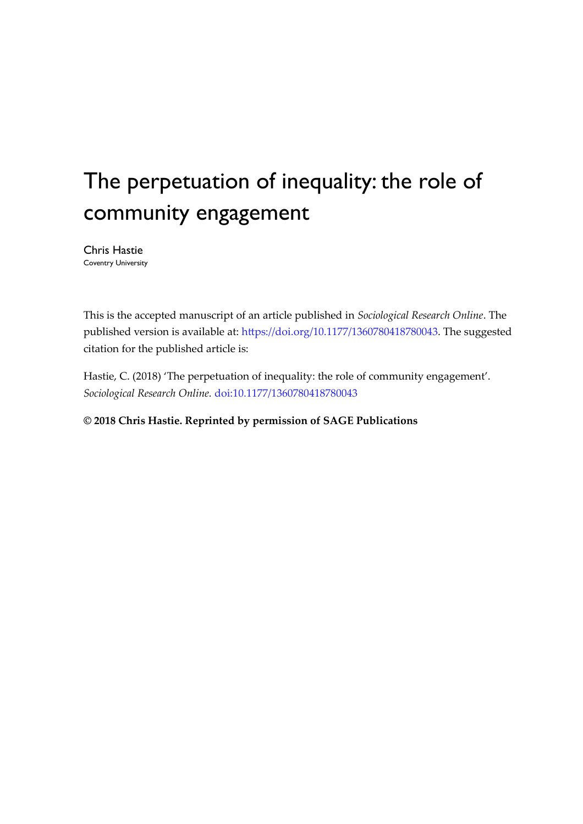# The perpetuation of inequality: the role of community engagement

Chris Hastie Coventry University

This is the accepted manuscript of an article published in *Sociological Research Online*. The published version is available at: [https://doi.org/10.1177/1360780418780043.](https://doi.org/10.1177/1360780418780043) The suggested citation for the published article is:

Hastie, C. (2018) 'The perpetuation of inequality: the role of community engagement'. *Sociological Research Online.* [doi:10.1177/1360780418780043](https://doi.org/10.1177/1360780418780043)

**© 2018 Chris Hastie. Reprinted by permission of SAGE Publications**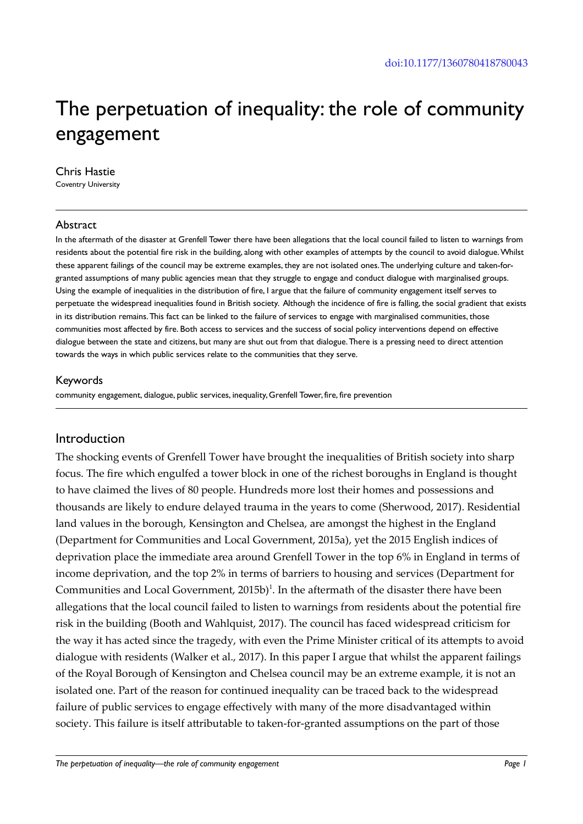# The perpetuation of inequality: the role of community engagement

#### Chris Hastie

Coventry University

#### Abstract

In the aftermath of the disaster at Grenfell Tower there have been allegations that the local council failed to listen to warnings from residents about the potential fire risk in the building, along with other examples of attempts by the council to avoid dialogue. Whilst these apparent failings of the council may be extreme examples, they are not isolated ones. The underlying culture and taken-forgranted assumptions of many public agencies mean that they struggle to engage and conduct dialogue with marginalised groups. Using the example of inequalities in the distribution of fire, I argue that the failure of community engagement itself serves to perpetuate the widespread inequalities found in British society. Although the incidence of fire is falling, the social gradient that exists in its distribution remains. This fact can be linked to the failure of services to engage with marginalised communities, those communities most affected by fire. Both access to services and the success of social policy interventions depend on effective dialogue between the state and citizens, but many are shut out from that dialogue. There is a pressing need to direct attention towards the ways in which public services relate to the communities that they serve.

#### Keywords

community engagement, dialogue, public services, inequality, Grenfell Tower, fire, fire prevention

#### Introduction

The shocking events of Grenfell Tower have brought the inequalities of British society into sharp focus. The fire which engulfed a tower block in one of the richest boroughs in England is thought to have claimed the lives of 80 people. Hundreds more lost their homes and possessions and thousands are likely to endure delayed trauma in the years to come (Sherwood, 2017). Residential land values in the borough, Kensington and Chelsea, are amongst the highest in the England (Department for Communities and Local Government, 2015a), yet the 2015 English indices of deprivation place the immediate area around Grenfell Tower in the top 6% in England in terms of income deprivation, and the top 2% in terms of barriers to housing and services (Department for Communities and Local Government,  $2015b$ <sup>1</sup>. In the aftermath of the disaster there have been allegations that the local council failed to listen to warnings from residents about the potential fire risk in the building (Booth and Wahlquist, 2017). The council has faced widespread criticism for the way it has acted since the tragedy, with even the Prime Minister critical of its attempts to avoid dialogue with residents (Walker et al., 2017). In this paper I argue that whilst the apparent failings of the Royal Borough of Kensington and Chelsea council may be an extreme example, it is not an isolated one. Part of the reason for continued inequality can be traced back to the widespread failure of public services to engage effectively with many of the more disadvantaged within society. This failure is itself attributable to taken-for-granted assumptions on the part of those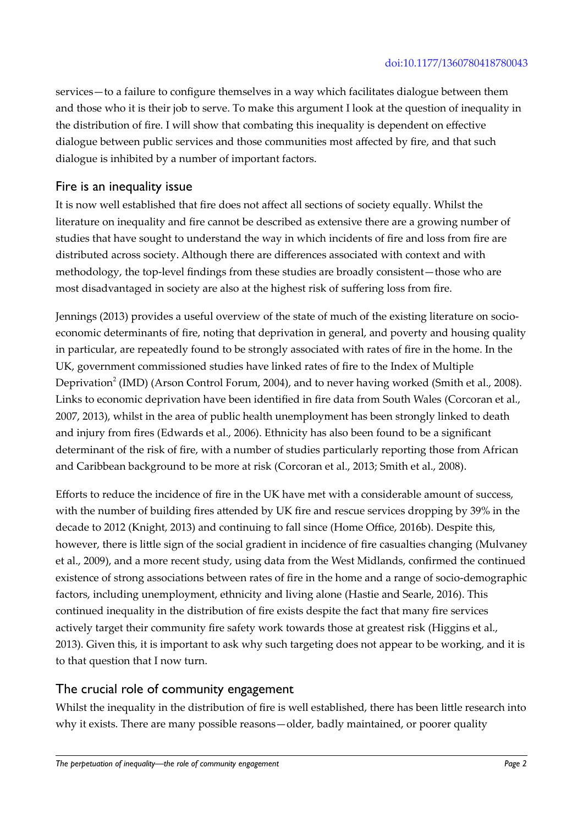services—to a failure to configure themselves in a way which facilitates dialogue between them and those who it is their job to serve. To make this argument I look at the question of inequality in the distribution of fire. I will show that combating this inequality is dependent on effective dialogue between public services and those communities most affected by fire, and that such dialogue is inhibited by a number of important factors.

## Fire is an inequality issue

It is now well established that fire does not affect all sections of society equally. Whilst the literature on inequality and fire cannot be described as extensive there are a growing number of studies that have sought to understand the way in which incidents of fire and loss from fire are distributed across society. Although there are differences associated with context and with methodology, the top-level findings from these studies are broadly consistent—those who are most disadvantaged in society are also at the highest risk of suffering loss from fire.

Jennings (2013) provides a useful overview of the state of much of the existing literature on socioeconomic determinants of fire, noting that deprivation in general, and poverty and housing quality in particular, are repeatedly found to be strongly associated with rates of fire in the home. In the UK, government commissioned studies have linked rates of fire to the Index of Multiple Deprivation<sup>2</sup> (IMD) (Arson Control Forum, 2004), and to never having worked (Smith et al., 2008). Links to economic deprivation have been identified in fire data from South Wales (Corcoran et al., 2007, 2013), whilst in the area of public health unemployment has been strongly linked to death and injury from fires (Edwards et al., 2006). Ethnicity has also been found to be a significant determinant of the risk of fire, with a number of studies particularly reporting those from African and Caribbean background to be more at risk (Corcoran et al., 2013; Smith et al., 2008).

Efforts to reduce the incidence of fire in the UK have met with a considerable amount of success, with the number of building fires attended by UK fire and rescue services dropping by 39% in the decade to 2012 (Knight, 2013) and continuing to fall since (Home Office, 2016b). Despite this, however, there is little sign of the social gradient in incidence of fire casualties changing (Mulvaney et al., 2009), and a more recent study, using data from the West Midlands, confirmed the continued existence of strong associations between rates of fire in the home and a range of socio-demographic factors, including unemployment, ethnicity and living alone (Hastie and Searle, 2016). This continued inequality in the distribution of fire exists despite the fact that many fire services actively target their community fire safety work towards those at greatest risk (Higgins et al., 2013). Given this, it is important to ask why such targeting does not appear to be working, and it is to that question that I now turn.

#### The crucial role of community engagement

Whilst the inequality in the distribution of fire is well established, there has been little research into why it exists. There are many possible reasons—older, badly maintained, or poorer quality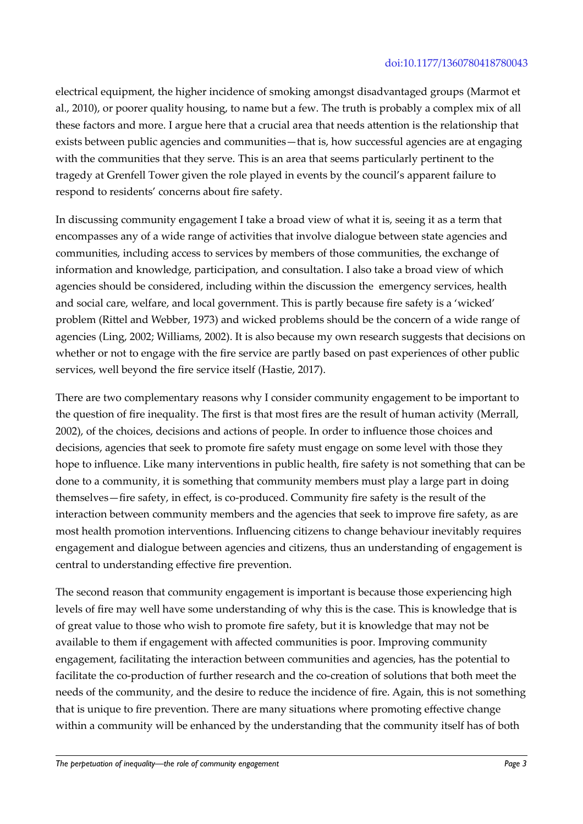electrical equipment, the higher incidence of smoking amongst disadvantaged groups (Marmot et al., 2010), or poorer quality housing, to name but a few. The truth is probably a complex mix of all these factors and more. I argue here that a crucial area that needs attention is the relationship that exists between public agencies and communities—that is, how successful agencies are at engaging with the communities that they serve. This is an area that seems particularly pertinent to the tragedy at Grenfell Tower given the role played in events by the council's apparent failure to respond to residents' concerns about fire safety.

In discussing community engagement I take a broad view of what it is, seeing it as a term that encompasses any of a wide range of activities that involve dialogue between state agencies and communities, including access to services by members of those communities, the exchange of information and knowledge, participation, and consultation. I also take a broad view of which agencies should be considered, including within the discussion the emergency services, health and social care, welfare, and local government. This is partly because fire safety is a 'wicked' problem (Rittel and Webber, 1973) and wicked problems should be the concern of a wide range of agencies (Ling, 2002; Williams, 2002). It is also because my own research suggests that decisions on whether or not to engage with the fire service are partly based on past experiences of other public services, well beyond the fire service itself (Hastie, 2017).

There are two complementary reasons why I consider community engagement to be important to the question of fire inequality. The first is that most fires are the result of human activity (Merrall, 2002), of the choices, decisions and actions of people. In order to influence those choices and decisions, agencies that seek to promote fire safety must engage on some level with those they hope to influence. Like many interventions in public health, fire safety is not something that can be done to a community, it is something that community members must play a large part in doing themselves—fire safety, in effect, is co-produced. Community fire safety is the result of the interaction between community members and the agencies that seek to improve fire safety, as are most health promotion interventions. Influencing citizens to change behaviour inevitably requires engagement and dialogue between agencies and citizens, thus an understanding of engagement is central to understanding effective fire prevention.

The second reason that community engagement is important is because those experiencing high levels of fire may well have some understanding of why this is the case. This is knowledge that is of great value to those who wish to promote fire safety, but it is knowledge that may not be available to them if engagement with affected communities is poor. Improving community engagement, facilitating the interaction between communities and agencies, has the potential to facilitate the co-production of further research and the co-creation of solutions that both meet the needs of the community, and the desire to reduce the incidence of fire. Again, this is not something that is unique to fire prevention. There are many situations where promoting effective change within a community will be enhanced by the understanding that the community itself has of both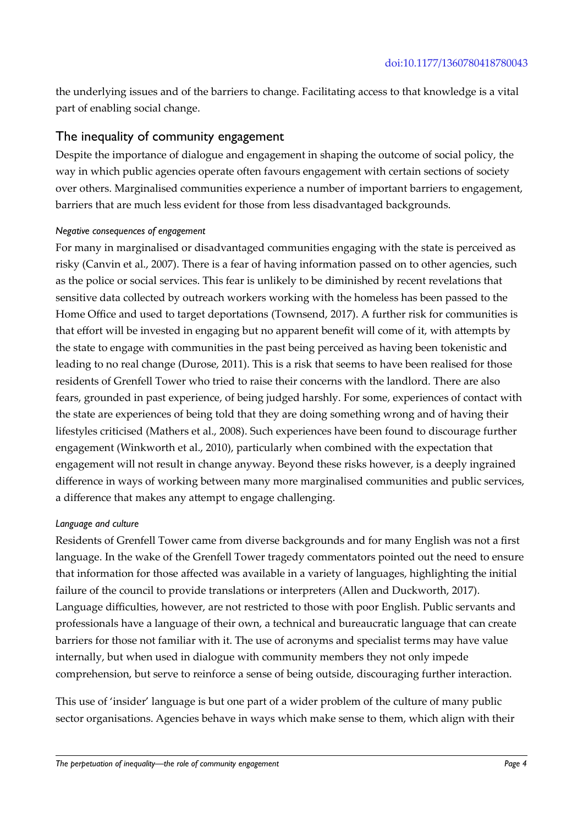the underlying issues and of the barriers to change. Facilitating access to that knowledge is a vital part of enabling social change.

#### The inequality of community engagement

Despite the importance of dialogue and engagement in shaping the outcome of social policy, the way in which public agencies operate often favours engagement with certain sections of society over others. Marginalised communities experience a number of important barriers to engagement, barriers that are much less evident for those from less disadvantaged backgrounds.

#### *Negative consequences of engagement*

For many in marginalised or disadvantaged communities engaging with the state is perceived as risky (Canvin et al., 2007). There is a fear of having information passed on to other agencies, such as the police or social services. This fear is unlikely to be diminished by recent revelations that sensitive data collected by outreach workers working with the homeless has been passed to the Home Office and used to target deportations (Townsend, 2017). A further risk for communities is that effort will be invested in engaging but no apparent benefit will come of it, with attempts by the state to engage with communities in the past being perceived as having been tokenistic and leading to no real change (Durose, 2011). This is a risk that seems to have been realised for those residents of Grenfell Tower who tried to raise their concerns with the landlord. There are also fears, grounded in past experience, of being judged harshly. For some, experiences of contact with the state are experiences of being told that they are doing something wrong and of having their lifestyles criticised (Mathers et al., 2008). Such experiences have been found to discourage further engagement (Winkworth et al., 2010), particularly when combined with the expectation that engagement will not result in change anyway. Beyond these risks however, is a deeply ingrained difference in ways of working between many more marginalised communities and public services, a difference that makes any attempt to engage challenging.

#### *Language and culture*

Residents of Grenfell Tower came from diverse backgrounds and for many English was not a first language. In the wake of the Grenfell Tower tragedy commentators pointed out the need to ensure that information for those affected was available in a variety of languages, highlighting the initial failure of the council to provide translations or interpreters (Allen and Duckworth, 2017). Language difficulties, however, are not restricted to those with poor English. Public servants and professionals have a language of their own, a technical and bureaucratic language that can create barriers for those not familiar with it. The use of acronyms and specialist terms may have value internally, but when used in dialogue with community members they not only impede comprehension, but serve to reinforce a sense of being outside, discouraging further interaction.

This use of 'insider' language is but one part of a wider problem of the culture of many public sector organisations. Agencies behave in ways which make sense to them, which align with their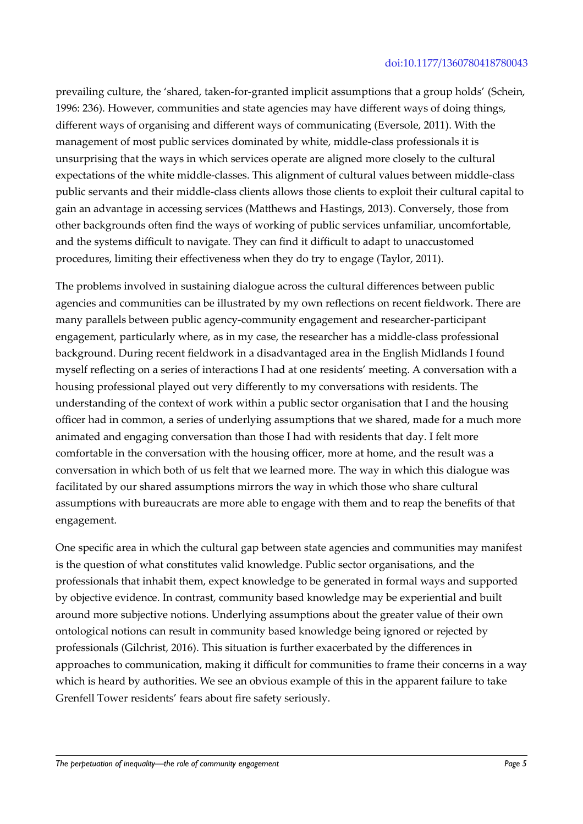prevailing culture, the 'shared, taken-for-granted implicit assumptions that a group holds' (Schein, 1996: 236). However, communities and state agencies may have different ways of doing things, different ways of organising and different ways of communicating (Eversole, 2011). With the management of most public services dominated by white, middle-class professionals it is unsurprising that the ways in which services operate are aligned more closely to the cultural expectations of the white middle-classes. This alignment of cultural values between middle-class public servants and their middle-class clients allows those clients to exploit their cultural capital to gain an advantage in accessing services (Matthews and Hastings, 2013). Conversely, those from other backgrounds often find the ways of working of public services unfamiliar, uncomfortable, and the systems difficult to navigate. They can find it difficult to adapt to unaccustomed procedures, limiting their effectiveness when they do try to engage (Taylor, 2011).

The problems involved in sustaining dialogue across the cultural differences between public agencies and communities can be illustrated by my own reflections on recent fieldwork. There are many parallels between public agency-community engagement and researcher-participant engagement, particularly where, as in my case, the researcher has a middle-class professional background. During recent fieldwork in a disadvantaged area in the English Midlands I found myself reflecting on a series of interactions I had at one residents' meeting. A conversation with a housing professional played out very differently to my conversations with residents. The understanding of the context of work within a public sector organisation that I and the housing officer had in common, a series of underlying assumptions that we shared, made for a much more animated and engaging conversation than those I had with residents that day. I felt more comfortable in the conversation with the housing officer, more at home, and the result was a conversation in which both of us felt that we learned more. The way in which this dialogue was facilitated by our shared assumptions mirrors the way in which those who share cultural assumptions with bureaucrats are more able to engage with them and to reap the benefits of that engagement.

One specific area in which the cultural gap between state agencies and communities may manifest is the question of what constitutes valid knowledge. Public sector organisations, and the professionals that inhabit them, expect knowledge to be generated in formal ways and supported by objective evidence. In contrast, community based knowledge may be experiential and built around more subjective notions. Underlying assumptions about the greater value of their own ontological notions can result in community based knowledge being ignored or rejected by professionals (Gilchrist, 2016). This situation is further exacerbated by the differences in approaches to communication, making it difficult for communities to frame their concerns in a way which is heard by authorities. We see an obvious example of this in the apparent failure to take Grenfell Tower residents' fears about fire safety seriously.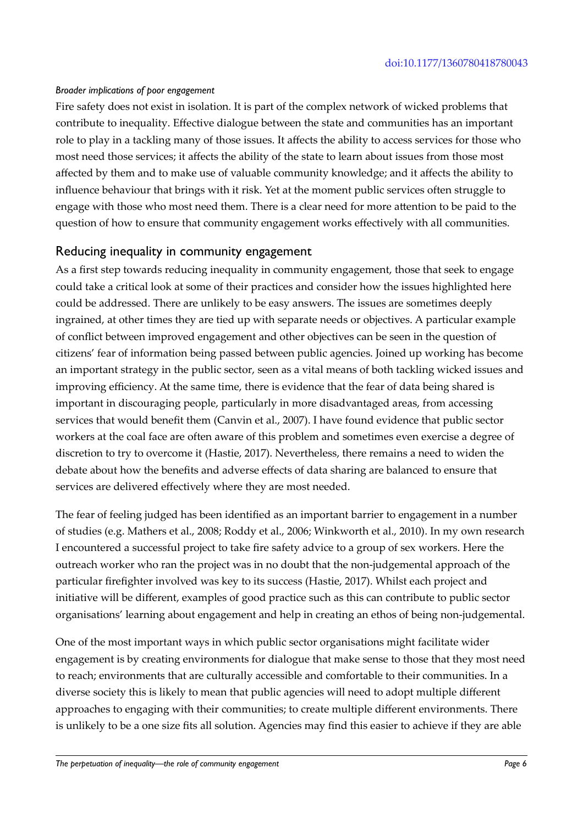#### *Broader implications of poor engagement*

Fire safety does not exist in isolation. It is part of the complex network of wicked problems that contribute to inequality. Effective dialogue between the state and communities has an important role to play in a tackling many of those issues. It affects the ability to access services for those who most need those services; it affects the ability of the state to learn about issues from those most affected by them and to make use of valuable community knowledge; and it affects the ability to influence behaviour that brings with it risk. Yet at the moment public services often struggle to engage with those who most need them. There is a clear need for more attention to be paid to the question of how to ensure that community engagement works effectively with all communities.

#### Reducing inequality in community engagement

As a first step towards reducing inequality in community engagement, those that seek to engage could take a critical look at some of their practices and consider how the issues highlighted here could be addressed. There are unlikely to be easy answers. The issues are sometimes deeply ingrained, at other times they are tied up with separate needs or objectives. A particular example of conflict between improved engagement and other objectives can be seen in the question of citizens' fear of information being passed between public agencies. Joined up working has become an important strategy in the public sector, seen as a vital means of both tackling wicked issues and improving efficiency. At the same time, there is evidence that the fear of data being shared is important in discouraging people, particularly in more disadvantaged areas, from accessing services that would benefit them (Canvin et al., 2007). I have found evidence that public sector workers at the coal face are often aware of this problem and sometimes even exercise a degree of discretion to try to overcome it (Hastie, 2017). Nevertheless, there remains a need to widen the debate about how the benefits and adverse effects of data sharing are balanced to ensure that services are delivered effectively where they are most needed.

The fear of feeling judged has been identified as an important barrier to engagement in a number of studies (e.g. Mathers et al., 2008; Roddy et al., 2006; Winkworth et al., 2010). In my own research I encountered a successful project to take fire safety advice to a group of sex workers. Here the outreach worker who ran the project was in no doubt that the non-judgemental approach of the particular firefighter involved was key to its success (Hastie, 2017). Whilst each project and initiative will be different, examples of good practice such as this can contribute to public sector organisations' learning about engagement and help in creating an ethos of being non-judgemental.

One of the most important ways in which public sector organisations might facilitate wider engagement is by creating environments for dialogue that make sense to those that they most need to reach; environments that are culturally accessible and comfortable to their communities. In a diverse society this is likely to mean that public agencies will need to adopt multiple different approaches to engaging with their communities; to create multiple different environments. There is unlikely to be a one size fits all solution. Agencies may find this easier to achieve if they are able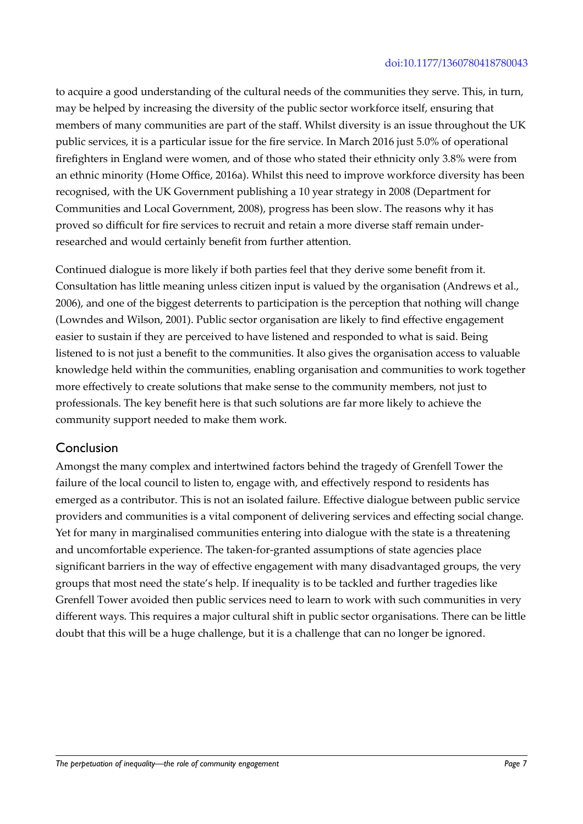to acquire a good understanding of the cultural needs of the communities they serve. This, in turn, may be helped by increasing the diversity of the public sector workforce itself, ensuring that members of many communities are part of the staff. Whilst diversity is an issue throughout the UK public services, it is a particular issue for the fire service. In March 2016 just 5.0% of operational firefighters in England were women, and of those who stated their ethnicity only 3.8% were from an ethnic minority (Home Office, 2016a). Whilst this need to improve workforce diversity has been recognised, with the UK Government publishing a 10 year strategy in 2008 (Department for Communities and Local Government, 2008), progress has been slow. The reasons why it has proved so difficult for fire services to recruit and retain a more diverse staff remain underresearched and would certainly benefit from further attention.

Continued dialogue is more likely if both parties feel that they derive some benefit from it. Consultation has little meaning unless citizen input is valued by the organisation (Andrews et al., 2006), and one of the biggest deterrents to participation is the perception that nothing will change (Lowndes and Wilson, 2001). Public sector organisation are likely to find effective engagement easier to sustain if they are perceived to have listened and responded to what is said. Being listened to is not just a benefit to the communities. It also gives the organisation access to valuable knowledge held within the communities, enabling organisation and communities to work together more effectively to create solutions that make sense to the community members, not just to professionals. The key benefit here is that such solutions are far more likely to achieve the community support needed to make them work.

# Conclusion

Amongst the many complex and intertwined factors behind the tragedy of Grenfell Tower the failure of the local council to listen to, engage with, and effectively respond to residents has emerged as a contributor. This is not an isolated failure. Effective dialogue between public service providers and communities is a vital component of delivering services and effecting social change. Yet for many in marginalised communities entering into dialogue with the state is a threatening and uncomfortable experience. The taken-for-granted assumptions of state agencies place significant barriers in the way of effective engagement with many disadvantaged groups, the very groups that most need the state's help. If inequality is to be tackled and further tragedies like Grenfell Tower avoided then public services need to learn to work with such communities in very different ways. This requires a major cultural shift in public sector organisations. There can be little doubt that this will be a huge challenge, but it is a challenge that can no longer be ignored.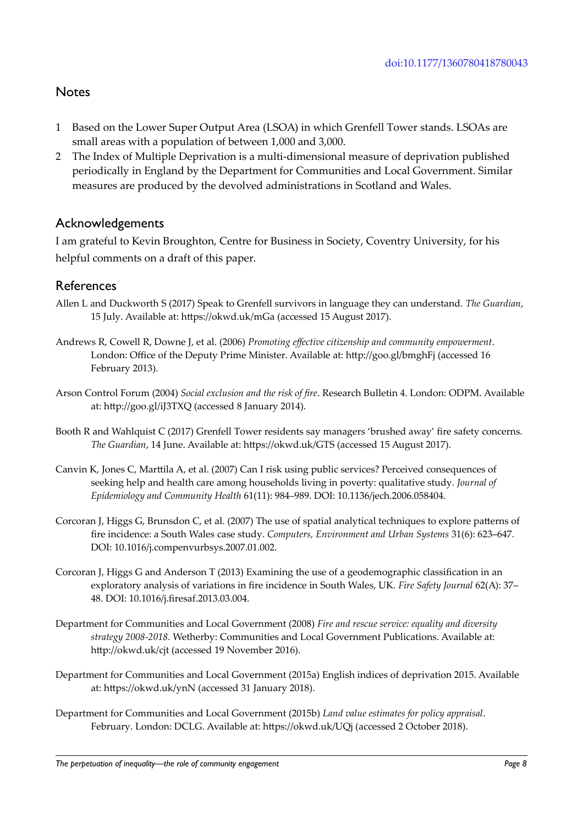# **Notes**

- 1 Based on the Lower Super Output Area (LSOA) in which Grenfell Tower stands. LSOAs are small areas with a population of between 1,000 and 3,000.
- 2 The Index of Multiple Deprivation is a multi-dimensional measure of deprivation published periodically in England by the Department for Communities and Local Government. Similar measures are produced by the devolved administrations in Scotland and Wales.

#### Acknowledgements

I am grateful to Kevin Broughton, Centre for Business in Society, Coventry University, for his helpful comments on a draft of this paper.

#### References

- Allen L and Duckworth S (2017) Speak to Grenfell survivors in language they can understand. *The Guardian*, 15 July. Available at: https://okwd.uk/mGa (accessed 15 August 2017).
- Andrews R, Cowell R, Downe J, et al. (2006) *Promoting effective citizenship and community empowerment*. London: Office of the Deputy Prime Minister. Available at: http://goo.gl/bmghFj (accessed 16 February 2013).
- Arson Control Forum (2004) *Social exclusion and the risk of fire*. Research Bulletin 4. London: ODPM. Available at: http://goo.gl/iJ3TXQ (accessed 8 January 2014).
- Booth R and Wahlquist C (2017) Grenfell Tower residents say managers 'brushed away' fire safety concerns. *The Guardian*, 14 June. Available at: https://okwd.uk/GTS (accessed 15 August 2017).
- Canvin K, Jones C, Marttila A, et al. (2007) Can I risk using public services? Perceived consequences of seeking help and health care among households living in poverty: qualitative study. *Journal of Epidemiology and Community Health* 61(11): 984–989. DOI: 10.1136/jech.2006.058404.
- Corcoran J, Higgs G, Brunsdon C, et al. (2007) The use of spatial analytical techniques to explore patterns of fire incidence: a South Wales case study. *Computers, Environment and Urban Systems* 31(6): 623–647. DOI: 10.1016/j.compenvurbsys.2007.01.002.
- Corcoran J, Higgs G and Anderson T (2013) Examining the use of a geodemographic classification in an exploratory analysis of variations in fire incidence in South Wales, UK. *Fire Safety Journal* 62(A): 37– 48. DOI: 10.1016/j.firesaf.2013.03.004.
- Department for Communities and Local Government (2008) *Fire and rescue service: equality and diversity strategy 2008-2018.* Wetherby: Communities and Local Government Publications. Available at: http://okwd.uk/cjt (accessed 19 November 2016).
- Department for Communities and Local Government (2015a) English indices of deprivation 2015. Available at: https://okwd.uk/ynN (accessed 31 January 2018).
- Department for Communities and Local Government (2015b) *Land value estimates for policy appraisal*. February. London: DCLG. Available at: https://okwd.uk/UQj (accessed 2 October 2018).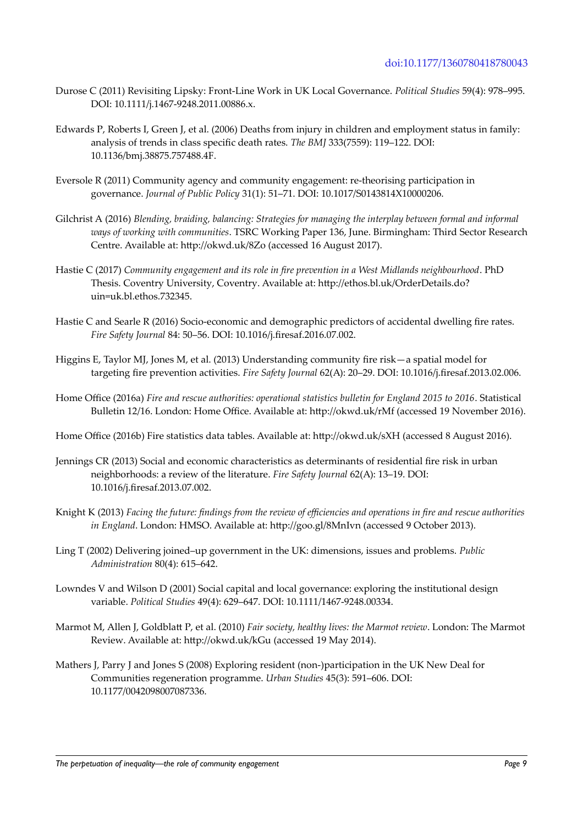- Durose C (2011) Revisiting Lipsky: Front-Line Work in UK Local Governance. *Political Studies* 59(4): 978–995. DOI: 10.1111/j.1467-9248.2011.00886.x.
- Edwards P, Roberts I, Green J, et al. (2006) Deaths from injury in children and employment status in family: analysis of trends in class specific death rates. *The BMJ* 333(7559): 119–122. DOI: 10.1136/bmj.38875.757488.4F.
- Eversole R (2011) Community agency and community engagement: re-theorising participation in governance. *Journal of Public Policy* 31(1): 51–71. DOI: 10.1017/S0143814X10000206.
- Gilchrist A (2016) *Blending, braiding, balancing: Strategies for managing the interplay between formal and informal ways of working with communities*. TSRC Working Paper 136, June. Birmingham: Third Sector Research Centre. Available at: http://okwd.uk/8Zo (accessed 16 August 2017).
- Hastie C (2017) *Community engagement and its role in fire prevention in a West Midlands neighbourhood*. PhD Thesis. Coventry University, Coventry. Available at: http://ethos.bl.uk/OrderDetails.do? uin=uk.bl.ethos.732345.
- Hastie C and Searle R (2016) Socio-economic and demographic predictors of accidental dwelling fire rates. *Fire Safety Journal* 84: 50–56. DOI: 10.1016/j.firesaf.2016.07.002.
- Higgins E, Taylor MJ, Jones M, et al. (2013) Understanding community fire risk—a spatial model for targeting fire prevention activities. *Fire Safety Journal* 62(A): 20–29. DOI: 10.1016/j.firesaf.2013.02.006.
- Home Office (2016a) *Fire and rescue authorities: operational statistics bulletin for England 2015 to 2016*. Statistical Bulletin 12/16. London: Home Office. Available at: http://okwd.uk/rMf (accessed 19 November 2016).
- Home Office (2016b) Fire statistics data tables. Available at: http://okwd.uk/sXH (accessed 8 August 2016).
- Jennings CR (2013) Social and economic characteristics as determinants of residential fire risk in urban neighborhoods: a review of the literature. *Fire Safety Journal* 62(A): 13–19. DOI: 10.1016/j.firesaf.2013.07.002.
- Knight K (2013) *Facing the future: findings from the review of efficiencies and operations in fire and rescue authorities in England*. London: HMSO. Available at: http://goo.gl/8MnIvn (accessed 9 October 2013).
- Ling T (2002) Delivering joined–up government in the UK: dimensions, issues and problems. *Public Administration* 80(4): 615–642.
- Lowndes V and Wilson D (2001) Social capital and local governance: exploring the institutional design variable. *Political Studies* 49(4): 629–647. DOI: 10.1111/1467-9248.00334.
- Marmot M, Allen J, Goldblatt P, et al. (2010) *Fair society, healthy lives: the Marmot review*. London: The Marmot Review. Available at: http://okwd.uk/kGu (accessed 19 May 2014).
- Mathers J, Parry J and Jones S (2008) Exploring resident (non-)participation in the UK New Deal for Communities regeneration programme. *Urban Studies* 45(3): 591–606. DOI: 10.1177/0042098007087336.